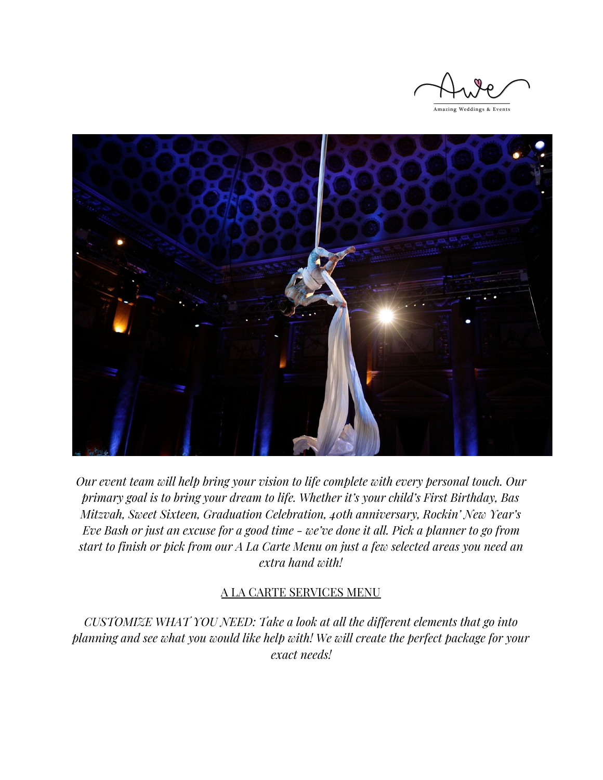



*Our event team will help bring your vision to life complete with every personal touch. Our primary goal is to bring your dream to life. Whether it's your child's First Birthday, Bas Mitzvah, Sweet Sixteen, Graduation Celebration, 40th anniversary, Rockin' New Year's* Eve Bash or just an excuse for a good time - we've done it all. Pick a planner to go from start to finish or pick from our A La Carte Menu on just a few selected areas you need an *extra hand with!*

## A LA CARTE SERVICES MENU

*CUSTOMIZE WHAT YOU NEED: Take a look at all the different elements that go into planning and see what you would like help with! We will create the perfect package for your exact needs!*